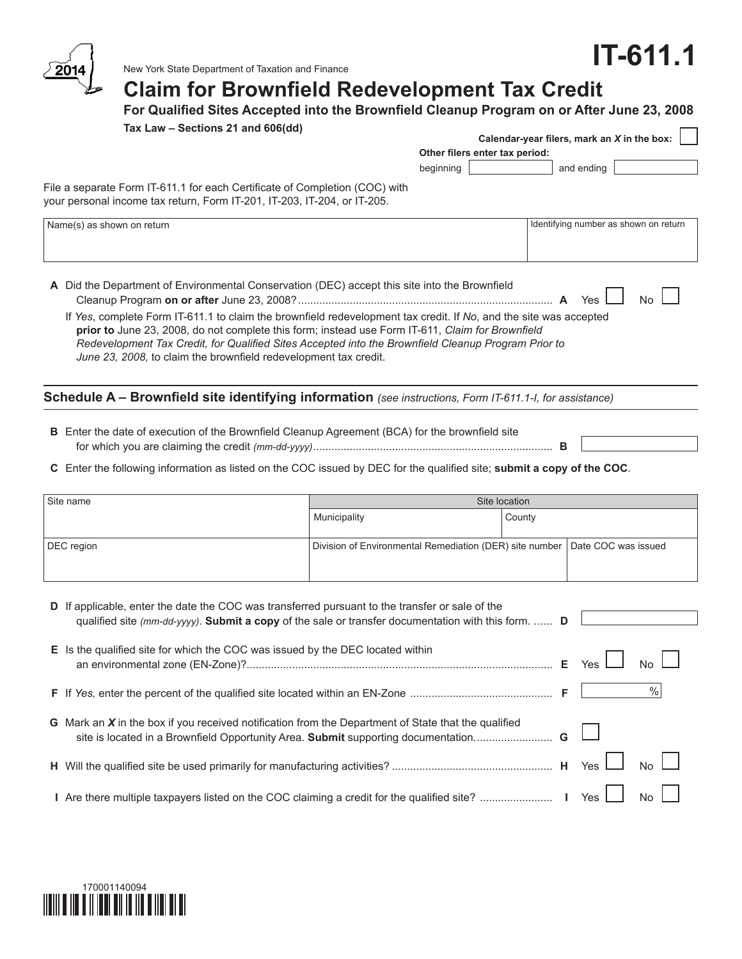# **IT-611.1**



New York State Department of Taxation and Finance

# **Claim for Brownfield Redevelopment Tax Credit**

**For Qualified Sites Accepted into the Brownfield Cleanup Program on or After June 23, 2008**

| Tax Law – Sections 21 and 606(dd)                                                                                                                                                                                                                                                                                                                                                                |                                                         |                                |        | Calendar-year filers, mark an X in the box: |           |
|--------------------------------------------------------------------------------------------------------------------------------------------------------------------------------------------------------------------------------------------------------------------------------------------------------------------------------------------------------------------------------------------------|---------------------------------------------------------|--------------------------------|--------|---------------------------------------------|-----------|
|                                                                                                                                                                                                                                                                                                                                                                                                  |                                                         | Other filers enter tax period: |        |                                             |           |
|                                                                                                                                                                                                                                                                                                                                                                                                  |                                                         | beginning                      |        | and ending                                  |           |
| File a separate Form IT-611.1 for each Certificate of Completion (COC) with<br>your personal income tax return, Form IT-201, IT-203, IT-204, or IT-205.                                                                                                                                                                                                                                          |                                                         |                                |        |                                             |           |
| Name(s) as shown on return                                                                                                                                                                                                                                                                                                                                                                       |                                                         |                                |        | Identifying number as shown on return       |           |
| A Did the Department of Environmental Conservation (DEC) accept this site into the Brownfield                                                                                                                                                                                                                                                                                                    |                                                         |                                |        |                                             |           |
|                                                                                                                                                                                                                                                                                                                                                                                                  |                                                         |                                |        |                                             | <b>No</b> |
| If Yes, complete Form IT-611.1 to claim the brownfield redevelopment tax credit. If No, and the site was accepted<br>prior to June 23, 2008, do not complete this form; instead use Form IT-611, Claim for Brownfield<br>Redevelopment Tax Credit, for Qualified Sites Accepted into the Brownfield Cleanup Program Prior to<br>June 23, 2008, to claim the brownfield redevelopment tax credit. |                                                         |                                |        |                                             |           |
| Schedule A - Brownfield site identifying information (see instructions, Form IT-611.1-I, for assistance)                                                                                                                                                                                                                                                                                         |                                                         |                                |        |                                             |           |
| B Enter the date of execution of the Brownfield Cleanup Agreement (BCA) for the brownfield site                                                                                                                                                                                                                                                                                                  |                                                         |                                |        |                                             |           |
| C Enter the following information as listed on the COC issued by DEC for the qualified site; submit a copy of the COC.                                                                                                                                                                                                                                                                           |                                                         |                                |        |                                             |           |
| Site name                                                                                                                                                                                                                                                                                                                                                                                        |                                                         | Site location                  |        |                                             |           |
|                                                                                                                                                                                                                                                                                                                                                                                                  | Municipality                                            |                                | County |                                             |           |
| DEC region                                                                                                                                                                                                                                                                                                                                                                                       | Division of Environmental Remediation (DER) site number |                                |        | Date COC was issued                         |           |
| D If applicable, enter the date the COC was transferred pursuant to the transfer or sale of the<br>qualified site (mm-dd-yyyy). Submit a copy of the sale or transfer documentation with this form.  D                                                                                                                                                                                           |                                                         |                                |        |                                             |           |
| E Is the qualified site for which the COC was issued by the DEC located within                                                                                                                                                                                                                                                                                                                   |                                                         |                                |        | Yes                                         | No        |
|                                                                                                                                                                                                                                                                                                                                                                                                  |                                                         |                                |        |                                             | $\%$      |
| G Mark an $X$ in the box if you received notification from the Department of State that the qualified<br>site is located in a Brownfield Opportunity Area. Submit supporting documentation                                                                                                                                                                                                       |                                                         |                                | G      |                                             |           |
|                                                                                                                                                                                                                                                                                                                                                                                                  |                                                         |                                |        | Yes                                         | No        |
|                                                                                                                                                                                                                                                                                                                                                                                                  |                                                         |                                |        | Yes                                         | No        |

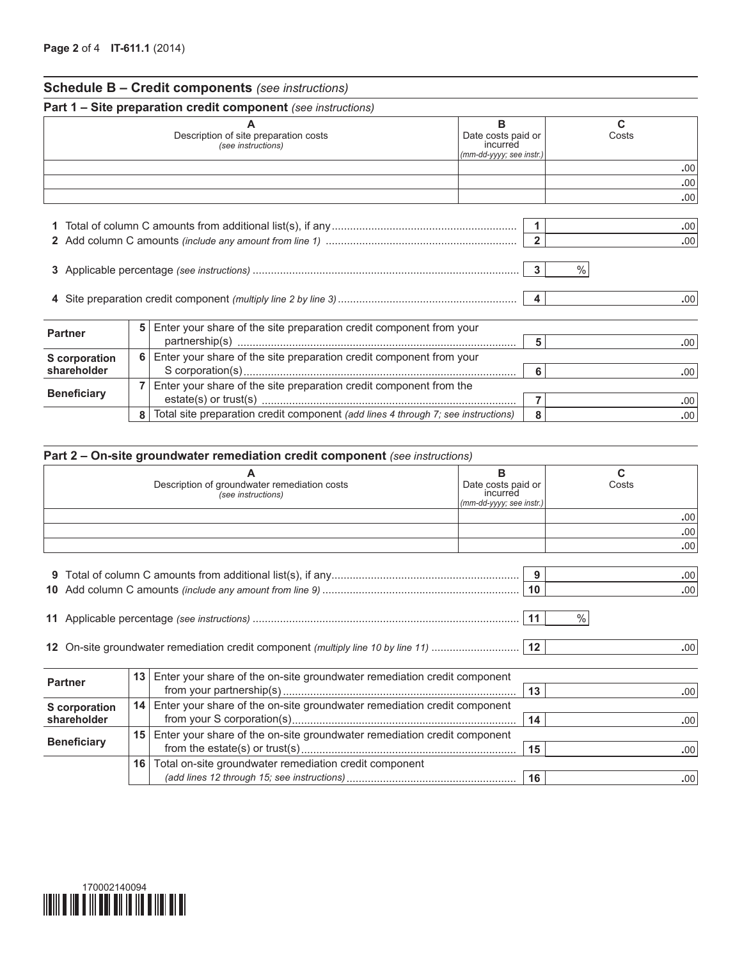|                                                                                                               |                                                             | <b>Schedule B - Credit components</b> (see instructions)           |  |                         |                         |
|---------------------------------------------------------------------------------------------------------------|-------------------------------------------------------------|--------------------------------------------------------------------|--|-------------------------|-------------------------|
|                                                                                                               |                                                             | Part 1 - Site preparation credit component (see instructions)      |  |                         |                         |
|                                                                                                               | Description of site preparation costs<br>(see instructions) |                                                                    |  |                         | C<br>Costs              |
|                                                                                                               |                                                             |                                                                    |  |                         | .00                     |
|                                                                                                               |                                                             |                                                                    |  |                         | .00 <sub>1</sub><br>.00 |
| $\overline{2}$                                                                                                |                                                             |                                                                    |  |                         |                         |
| $\mathbf{2}^-$<br>3                                                                                           |                                                             |                                                                    |  |                         | .00<br>$\%$             |
| 4                                                                                                             |                                                             |                                                                    |  | $\overline{\mathbf{4}}$ | .00 <sub>1</sub>        |
| 5<br>Enter your share of the site preparation credit component from your<br><b>Partner</b><br>5               |                                                             |                                                                    |  |                         | .00 <sub>1</sub>        |
| 6<br>Enter your share of the site preparation credit component from your<br>S corporation<br>shareholder<br>6 |                                                             |                                                                    |  | .00 <sub>1</sub>        |                         |
| <b>Beneficiary</b>                                                                                            |                                                             | Enter your share of the site preparation credit component from the |  | $\overline{7}$          | .00                     |

**8** Total site preparation credit component *(add lines 4 through 7; see instructions)* **8 8** 

|                                                                                                                      |                 | Part 2 – On-site groundwater remediation credit component (see instructions) |                                                                 |                   |  |  |  |  |
|----------------------------------------------------------------------------------------------------------------------|-----------------|------------------------------------------------------------------------------|-----------------------------------------------------------------|-------------------|--|--|--|--|
|                                                                                                                      |                 | Description of groundwater remediation costs<br>(see instructions)           | в<br>Date costs paid or<br>incurred<br>(mm-dd-yyyy; see instr.) | C<br>Costs        |  |  |  |  |
|                                                                                                                      |                 |                                                                              |                                                                 | .00<br>.00<br>.00 |  |  |  |  |
| .00 <sub>1</sub><br>.00<br>10                                                                                        |                 |                                                                              |                                                                 |                   |  |  |  |  |
|                                                                                                                      | $\%$<br>.00.    |                                                                              |                                                                 |                   |  |  |  |  |
| <b>Partner</b>                                                                                                       | 13              | Enter your share of the on-site groundwater remediation credit component     | 13                                                              | .00 <sub>1</sub>  |  |  |  |  |
| Enter your share of the on-site groundwater remediation credit component<br>14<br>S corporation<br>shareholder<br>14 |                 |                                                                              |                                                                 | .00.              |  |  |  |  |
| <b>Beneficiary</b>                                                                                                   | 15              | Enter your share of the on-site groundwater remediation credit component     | 15                                                              | .00.              |  |  |  |  |
|                                                                                                                      | 16 <sup>1</sup> | Total on-site groundwater remediation credit component                       | 16                                                              | .00               |  |  |  |  |

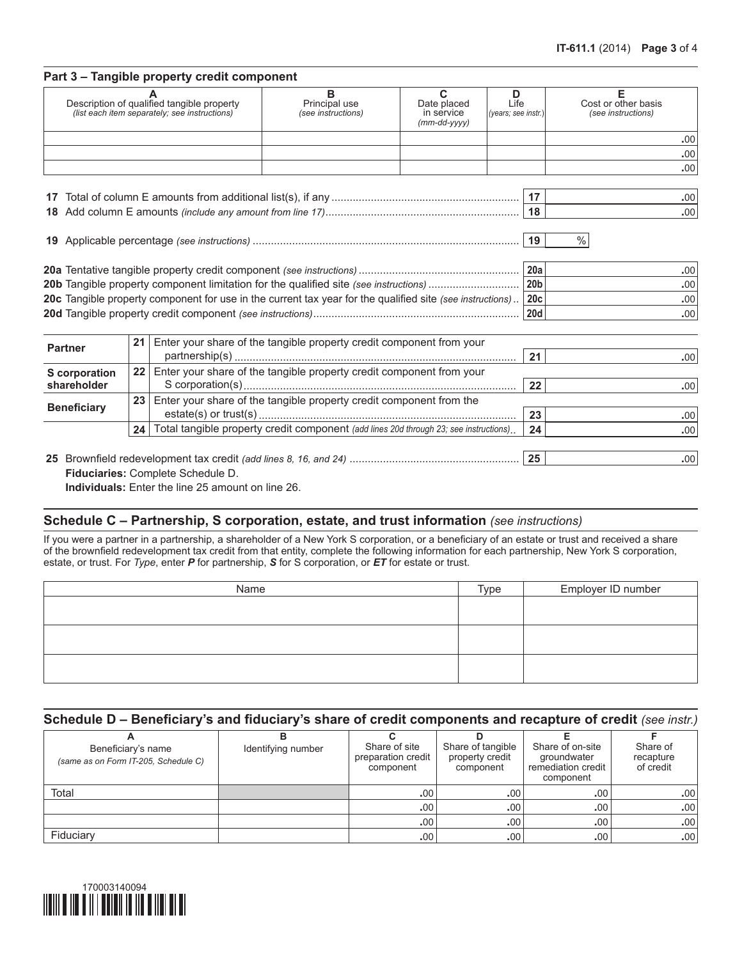#### **Part 3 – Tangible property credit component**

| Description of qualified tangible property<br>(list each item separately; see instructions) | Principal use<br>(see instructions) | Date placed<br>in service<br>$(mm$ -dd-yyyy $)$ | Life<br>$ $ (years; see instr.) $ $ | Cost or other basis<br>(see instructions) |
|---------------------------------------------------------------------------------------------|-------------------------------------|-------------------------------------------------|-------------------------------------|-------------------------------------------|
|                                                                                             |                                     |                                                 |                                     | .00                                       |
|                                                                                             |                                     |                                                 |                                     | .00                                       |
|                                                                                             |                                     |                                                 |                                     | .00                                       |
|                                                                                             |                                     |                                                 |                                     |                                           |
| 17 Total of column E amounts from additional list(s) if any                                 |                                     |                                                 | 17                                  | $\cap$                                    |

|  | .00 <sub>1</sub> |
|--|------------------|
|  | .00 <sup>1</sup> |
|  |                  |

|                                                                                                                | 20a        | .001 |
|----------------------------------------------------------------------------------------------------------------|------------|------|
|                                                                                                                | 20b        | -001 |
| 20c Tangible property component for use in the current tax year for the qualified site (see instructions). 20c |            | .001 |
|                                                                                                                | <b>20d</b> | .001 |

| <b>Partner</b>                      | 21              | Enter your share of the tangible property credit component from your | 21  | .00  |  |  |  |
|-------------------------------------|-----------------|----------------------------------------------------------------------|-----|------|--|--|--|
| <b>S</b> corporation<br>shareholder | 22              | Enter your share of the tangible property credit component from your | 22  | .00  |  |  |  |
| <b>Beneficiary</b>                  | 23 <sub>1</sub> | Enter your share of the tangible property credit component from the  | 23  | .00. |  |  |  |
|                                     | 24              | 24                                                                   | .00 |      |  |  |  |
|                                     |                 |                                                                      |     |      |  |  |  |
|                                     |                 |                                                                      | 25  | .00  |  |  |  |

 **Fiduciaries:** Complete Schedule D. **Individuals:** Enter the line 25 amount on line 26.

## **Schedule C – Partnership, S corporation, estate, and trust information** *(see instructions)*

**19** Applicable percentage *(see instructions)* ........................................................................................ **19**  %

If you were a partner in a partnership, a shareholder of a New York S corporation, or a beneficiary of an estate or trust and received a share of the brownfield redevelopment tax credit from that entity, complete the following information for each partnership, New York S corporation, estate, or trust. For *Type*, enter *P* for partnership, *S* for S corporation, or *ET* for estate or trust.

| Name | Type | Employer ID number |
|------|------|--------------------|
|      |      |                    |
|      |      |                    |
|      |      |                    |
|      |      |                    |
|      |      |                    |
|      |      |                    |

### **Schedule D – Beneficiary's and fiduciary's share of credit components and recapture of credit** *(see instr.)*

| Beneficiary's name                   | Identifying number | Share of site<br>preparation credit | Share of tangible<br>property credit | Share of on-site<br>groundwater | Share of<br>recapture |
|--------------------------------------|--------------------|-------------------------------------|--------------------------------------|---------------------------------|-----------------------|
| (same as on Form IT-205, Schedule C) |                    | component                           | component                            | remediation credit<br>component | of credit             |
| Total                                |                    | .00.                                | .00 <sub>1</sub>                     | .00 <sup>1</sup>                | .00                   |
|                                      |                    | .00 <sub>1</sub>                    | .00.                                 | .00 <sub>1</sub>                | .00                   |
|                                      |                    | .00.                                | .00 <sub>1</sub>                     | .00 <sub>1</sub>                | .00                   |
| Fiduciary                            |                    | .00 <sup>1</sup>                    | .00.                                 | .00                             | .00                   |